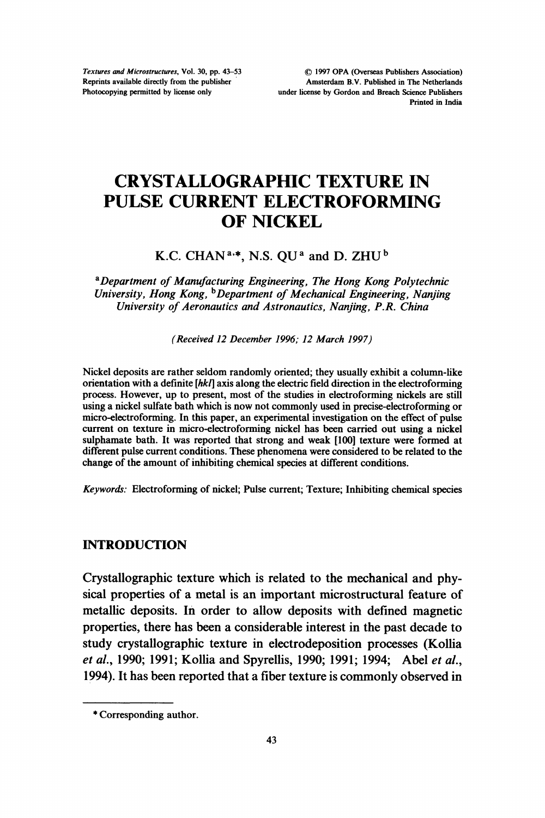Textures and Microstructures, Vol. 30, pp. 43-53 Reprints available directly from the publisher Photocopying permitted by license only

(C) <sup>1997</sup> OPA (Overseas Publishers Association) Amsterdam B.V. Published in The Netherlands under license by Gordon and Breach Science Publishers Printed in India

# CRYSTALLOGRAPHIC TEXTURE IN PULSE CURRENT ELECTROFORMING OF NICKEL

## K.C. CHAN<sup>a,\*</sup>, N.S. OU<sup>a</sup> and D. ZHU<sup>b</sup>

<sup>a</sup> Department of Manufacturing Engineering, The Hong Kong Polytechnic University, Hong Kong, <sup>b</sup>Department of Mechanical Engineering, Nanjing University of Aeronautics and Astronautics, Nanjing, P.R. China

(Received 12 December 1996; 12 March 1997)

Nickel deposits are rather seldom randomly oriented; they usually exhibit a column-like orientation with a definite  $[hk]$  axis along the electric field direction in the electroforming process. However, up to present, most of the studies in electroforming nickels are still using a nickel sulfate bath which is now not commonly used in precise-electroforming or micro-electroforming. In this paper, an experimental investigation on the effect of pulse current on texture in micro-electroforming nickel has been carried out using a nickel sulphamate bath. It was reported that strong and weak [100] texture were formed at different pulse current conditions. These phenomena were considered to be related to the change of the amount of inhibiting chemical species at different conditions.

Keywords: Electroforming of nickel; Pulse current; Texture; Inhibiting chemical species

#### INTRODUCTION

Crystallographic texture which is related to the mechanical and physical properties of a metal is an important microstructural feature of metallic deposits. In order to allow deposits with defined magnetic properties, there has been a considerable interest in the past decade to study crystallographic texture in electrodeposition processes (Kollia et al., 1990; 1991; Kollia and Spyrellis, 1990; 1991; 1994; Abel et al., 1994). It has been reported that a fiber texture is commonly observed in

<sup>\*</sup> Corresponding author.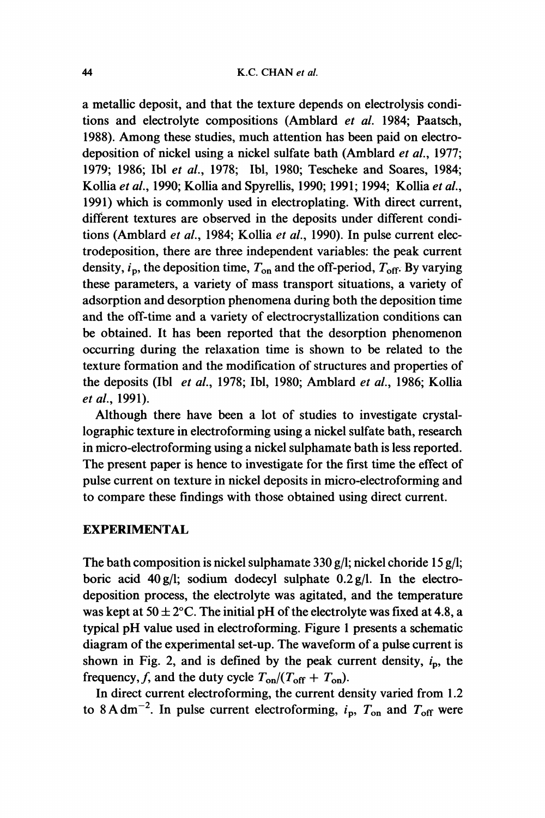a metallic deposit, and that the texture depends on electrolysis conditions and electrolyte compositions (Amblard et al. 1984; Paatsch, 1988). Among these studies, much attention has been paid on electrodeposition of nickel using a nickel sulfate bath (Amblard et al., 1977; 1979; 1986; Ibl et al., 1978; Ibl, 1980; Tescheke and Soares, 1984; Kollia et al., 1990; Kollia and Spyrellis, 1990; 1991; 1994; Kollia et al., 1991) which is commonly used in electroplating. With direct current, different textures are observed in the deposits under different conditions (Amblard et al., 1984; Kollia et al., 1990). In pulse current electrodeposition, there are three independent variables: the peak current density,  $i_p$ , the deposition time,  $T_{on}$  and the off-period,  $T_{off}$ . By varying these parameters, a variety of mass transport situations, a variety of adsorption and desorption phenomena during both the deposition time and the off-time and a variety of electrocrystallization conditions can be obtained. It has been reported that the desorption phenomenon occurring during the relaxation time is shown to be related to the texture formation and the modification of structures and properties of the deposits (Ibl et al., 1978; Ibl, 1980; Amblard et al., 1986; Kollia et al., 1991).

Although there have been a lot of studies to investigate crystallographic texture in electroforming using a nickel sulfate bath, research in micro-electroforming using a nickel sulphamate bath is less reported. The present paper is hence to investigate for the first time the effect of pulse current on texture in nickel deposits in micro-electroforming and to compare these findings with those obtained using direct current.

## EXPERIMENTAL

The bath composition is nickel sulphamate 330 g/l; nickel choride 15 g/l; boric acid 40g/l; sodium dodecyl sulphate 0.2g/l. In the electrodeposition process, the electrolyte was agitated, and the temperature was kept at  $50 \pm 2$ °C. The initial pH of the electrolyte was fixed at 4.8, a typical  $pH$  value used in electroforming. Figure 1 presents a schematic diagram of the experimental set-up. The waveform of a pulse current is shown in Fig. 2, and is defined by the peak current density,  $i_p$ , the frequency, f, and the duty cycle  $T_{on}/(T_{off} + T_{on})$ .

In direct current electroforming, the current density varied from 1.2 to 8 A dm<sup>-2</sup>. In pulse current electroforming,  $i_p$ ,  $T_{on}$  and  $T_{off}$  were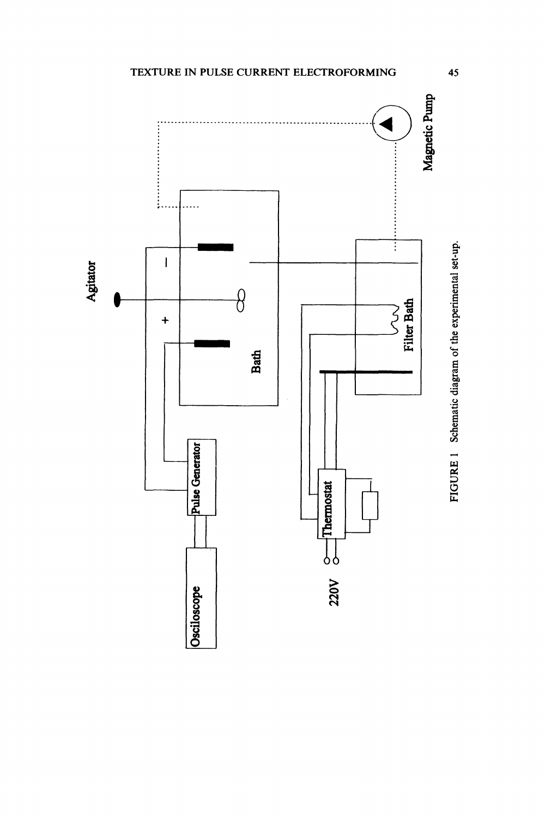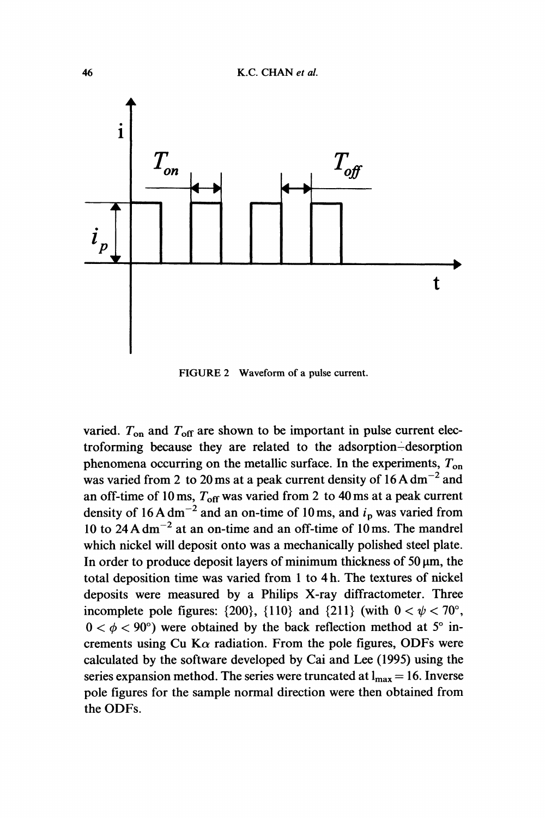

FIGURE <sup>2</sup> Waveform of <sup>a</sup> pulse current.

varied.  $T_{\text{on}}$  and  $T_{\text{off}}$  are shown to be important in pulse current electroforming because they are related to the adsorption-desorption phenomena occurring on the metallic surface. In the experiments,  $T_{on}$ was varied from 2 to 20 ms at a peak current density of  $16 \text{ A dm}^{-2}$  and an off-time of 10 ms,  $T_{\text{off}}$  was varied from 2 to 40 ms at a peak current density of 16 A dm<sup>-2</sup> and an on-time of 10 ms, and  $i<sub>p</sub>$  was varied from 10 to 24 A dm<sup> $-2$ </sup> at an on-time and an off-time of 10 ms. The mandrel which nickel will deposit onto was a mechanically polished steel plate. In order to produce deposit layers of minimum thickness of  $50 \mu m$ , the total deposition time was varied from <sup>1</sup> to 4 h. The textures of nickel deposits were measured by a Philips X-ray diffractometer. Three incomplete pole figures:  $\{200\}$ ,  $\{110\}$  and  $\{211\}$  (with  $0 < \psi < 70^{\circ}$ ,  $0 < \phi < 90^{\circ}$ ) were obtained by the back reflection method at  $5^{\circ}$  increments using Cu K $\alpha$  radiation. From the pole figures, ODFs were calculated by the software developed by Cai and Lee (1995) using the series expansion method. The series were truncated at  $l_{max} = 16$ . Inverse pole figures for the sample normal direction were then obtained from the ODFs.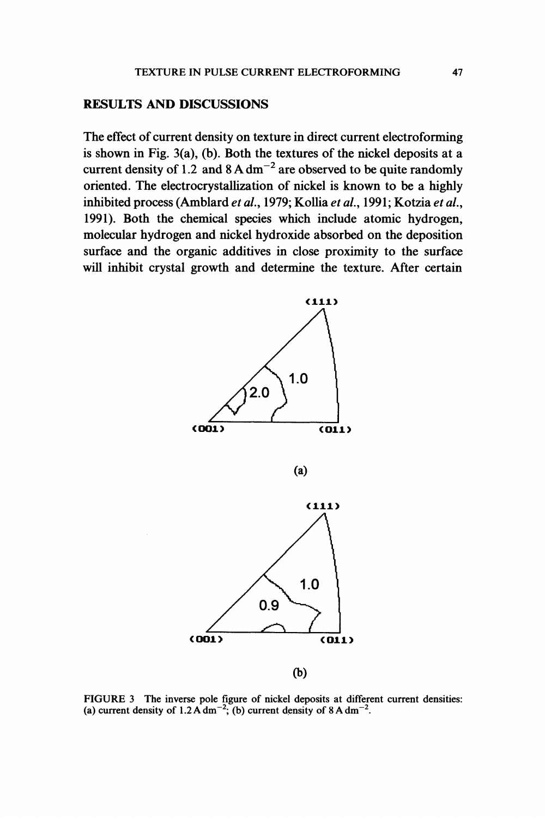#### RESULTS AND DISCUSSIONS

The effect of current density on texture in direct current electroforming is shown in Fig. 3(a), (b). Both the textures of the nickel deposits at a current density of 1.2 and  $8 \text{ A dm}^{-2}$  are observed to be quite randomly oriented. The electrocrystallization of nickel is known to be a highly inhibited process (Amblard et al., 1979; Kollia et al., 1991; Kotzia et al., 1991). Both the chemical species which include atomic hydrogen, molecular hydrogen and nickel hydroxide absorbed on the deposition surface and the organic additives in dose proximity to the surface will inhibit crystal growth and determine the texture. After certain



FIGURE <sup>3</sup> The inverse pole figure of nickel deposits at different current densities: (a) current density of 1.2 A dm<sup>-2</sup>; (b) current density of 8 A dm<sup>-2</sup>.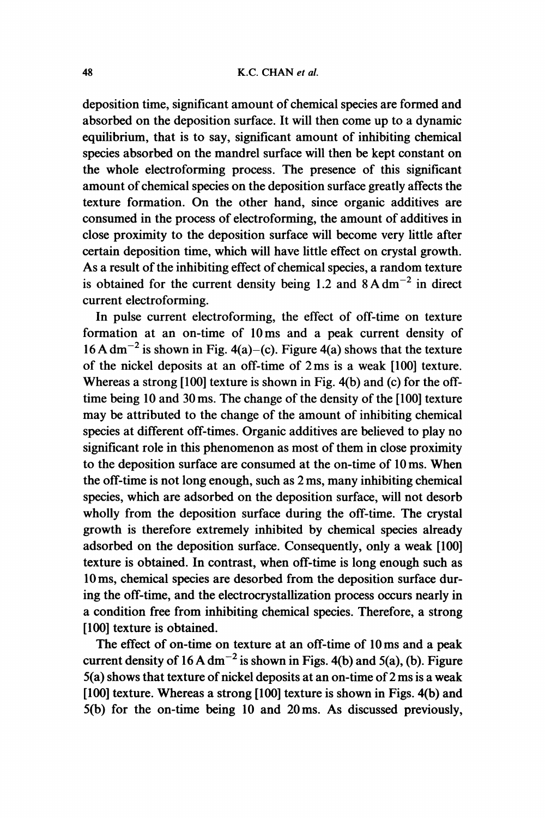deposition time, significant amount of chemical species are formed and absorbed on the deposition surface. It will then come up to a dynamic equilibrium, that is to say, significant amount of inhibiting chemical species absorbed on the mandrel surface will then be kept constant on the whole electroforming process. The presence of this significant amount of chemical species on the deposition surface greatly affects the texture formation. On the other hand, since organic additives are consumed in the process of electroforming, the amount of additives in close proximity to the deposition surface will become very little after certain deposition time, which will have little effect on crystal growth. As a result of the inhibiting effect of chemical species, a random texture is obtained for the current density being 1.2 and  $8 \text{ A dm}^{-2}$  in direct current electroforming.

In pulse current electroforming, the effect of off-time on texture formation at an on-time of 10ms and a peak current density of  $16A \text{ dm}^{-2}$  is shown in Fig. 4(a)–(c). Figure 4(a) shows that the texture of the nickel deposits at an off-time of 2 ms is a weak [100] texture. Whereas a strong [100] texture is shown in Fig. 4(b) and (c) for the offtime being 10 and 30 ms. The change of the density of the [100] texture may be attributed to the change of the amount of inhibiting chemical species at different off-times. Organic additives are believed to play no significant role in this phenomenon as most of them in close proximity to the deposition surface are consumed at the on-time of <sup>10</sup> ms. When the off-time is not long enough, such as 2 ms, many inhibiting chemical species, which are adsorbed on the deposition surface, will not desorb wholly from the deposition surface during the off-time. The crystal growth is therefore extremely inhibited by chemical species already adsorbed on the deposition surface. Consequently, only a weak [100] texture is obtained. In contrast, when off-time is long enough such as 10 ms, chemical species are desorbed from the deposition surface during the off-time, and the electrocrystallization process occurs nearly in a condition free from inhibiting chemical species. Therefore, a strong [100] texture is obtained.

The effect of on-time on texture at an off-time of 10 ms and a peak current density of  $16 \text{ A dm}^{-2}$  is shown in Figs. 4(b) and 5(a), (b). Figure  $5(a)$  shows that texture of nickel deposits at an on-time of 2 ms is a weak [100] texture. Whereas a strong [100] texture is shown in Figs. 4(b) and 5(b) for the on-time being 10 and 20ms. As discussed previously,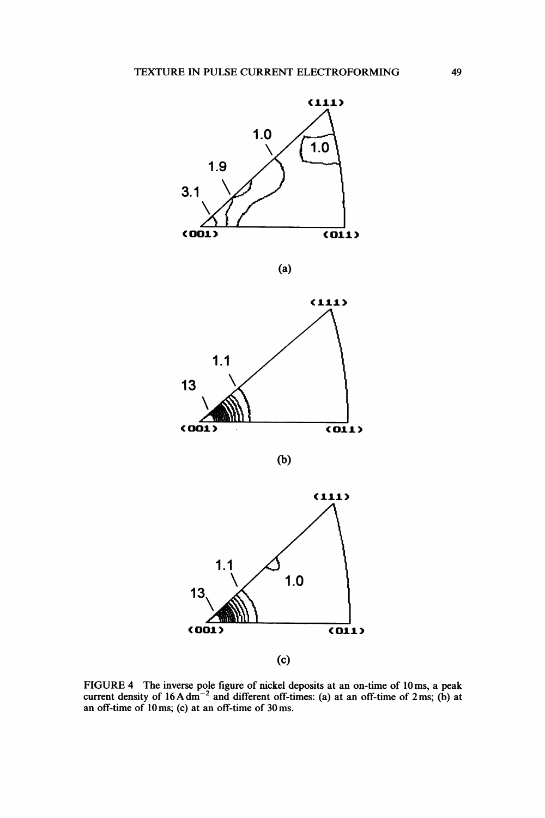

(a)



(b)



FIGURE 4 The inverse pole figure of nickel deposits at an on-time of 10ms, a peak current density of 16 A dm<sup>-2</sup> and different off-times: (a) at an off-time of 2 ms; (b) at an off-time of 10ms; (c) at an off-time of 30ms.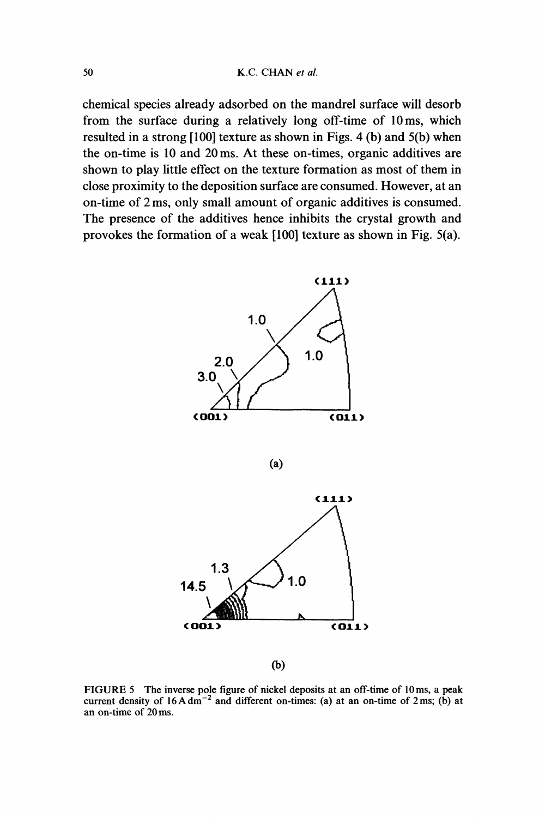chemical species already adsorbed on the mandrel surface will desorb from the surface during a relatively long off-time of 10ms, which resulted in a strong [100] texture as shown in Figs. 4 (b) and 5(b) when the on-time is 10 and 20ms. At these on-times, organic additives are shown to play little effect on the texture formation as most of them in close proximity to the deposition surface are consumed. However, at an on-time of 2 ms, only small amount of organic additives is consumed. The presence of the additives hence inhibits the crystal growth and provokes the formation of a weak [100] texture as shown in Fig. 5(a).





 $(b)$ 

FIGURE <sup>5</sup> The inverse pole figure of nickel deposits at an off-time of 10ms, <sup>a</sup> peak current density of  $16A \text{ dm}^{-2}$  and different on-times: (a) at an on-time of  $2 \text{ ms}$ ; (b) at an on-time of 20 ms.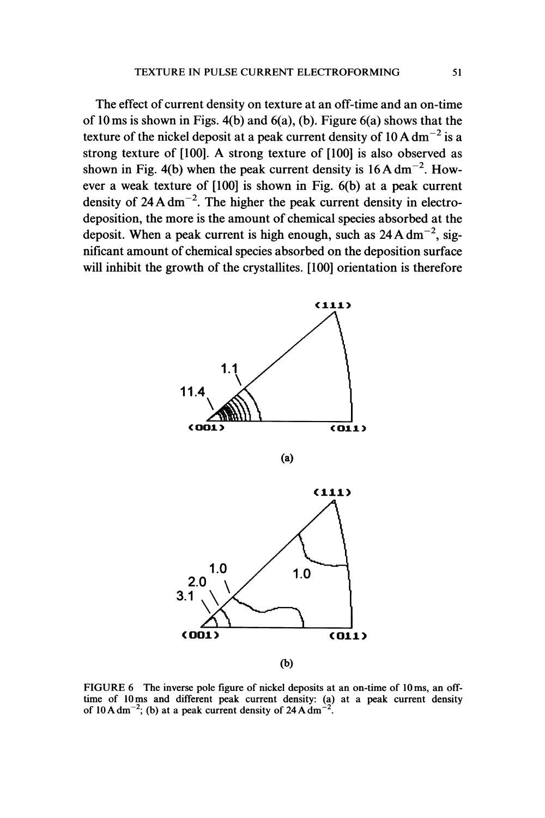The effect of current density on texture at an off-time and an on-time of 10 ms is shown in Figs. 4(b) and  $6(a)$ , (b). Figure  $6(a)$  shows that the texture of the nickel deposit at a peak current density of  $10 \text{ A dm}^{-2}$  is a strong texture of [100]. A strong texture of [100] is also observed as shown in Fig. 4(b) when the peak current density is  $16 \text{A dm}^{-2}$ . However a weak texture of [100] is shown in Fig. 6(b) at a peak current density of  $24 \text{ A dm}^{-2}$ . The higher the peak current density in electrodeposition, the more is the amount of chemical species absorbed at the deposit. When a peak current is high enough, such as  $24 \text{ A dm}^{-2}$ , significant amount of chemical species absorbed on the deposition surface will inhibit the growth of the crystallites. [100] orientation is therefore



FIGURE 6 The inverse pole figure of nickel deposits at an on-time of l0 ms, an offtime of 10ms and different peak current density: (a) at a peak current density of 10 A dm<sup>-2</sup>; (b) at a peak current density of 24 A dm<sup>-2</sup>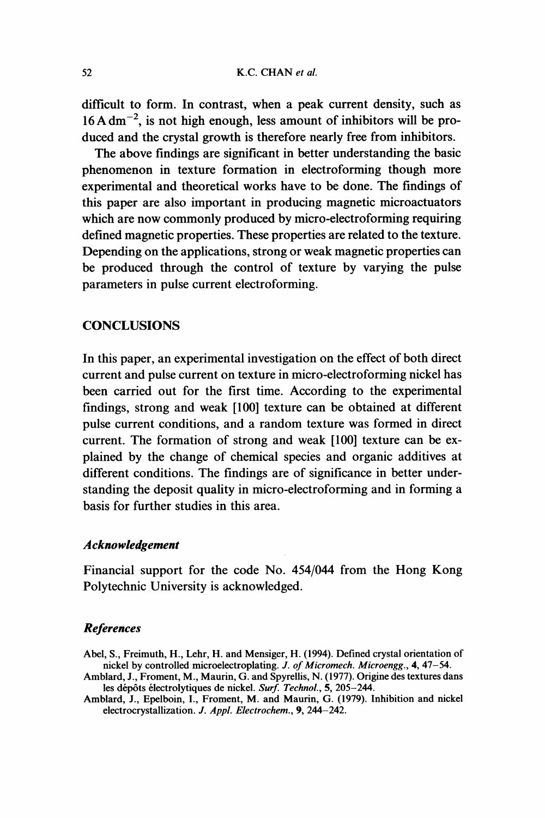difficult to form. In contrast, when a peak current density, such as  $16 A dm^{-2}$ , is not high enough, less amount of inhibitors will be produced and the crystal growth is therefore nearly free from inhibitors.

The above findings are significant in better understanding the basic phenomenon in texture formation in electroforming though more experimental and theoretical works have to be done. The findings of this paper are also important in producing magnetic microactuators which are now commonly produced by micro-electroforming requiring defined magnetic properties. These properties are related to the texture. Depending on the applications, strong or weak magnetic properties can be produced through the control of texture by varying the pulse parameters in pulse current electroforming.

#### **CONCLUSIONS**

In this paper, an experimental investigation on the effect of both direct current and pulse current on texture in micro-electroforming nickel has been carried out for the first time. According to the experimental findings, strong and weak [100] texture can be obtained at different pulse current conditions, and a random texture was formed in direct current. The formation of strong and weak [100] texture can be explained by the change of chemical species and organic additives at different conditions. The findings are of significance in better understanding the deposit quality in micro-electroforming and in forming a basis for further studies in this area.

#### Acknowledgement

Financial support for the code No. 454/044 from the Hong Kong Polytechnic University is acknowledged.

#### References

- Abel, S., Freimuth, H., Lehr, H. and Mensiger, H. (1994). Defined crystal orientation of nickel by controlled microelectroplating. J. of Micromech. Microengg., 4, 47-54.
- Amblard, J., Froment, M., Maurin, G. and Spyrellis, N. (1977). Origine des textures dans les dépôts électrolytiques de nickel. Surf. Technol., 5, 205-244.
- Amblard, J., Epelboin, I., Froment, M. and Maurin, G. (1979). Inhibition and nickel electrocrystallization. J. Appl. Electrochem., 9, 244-242.